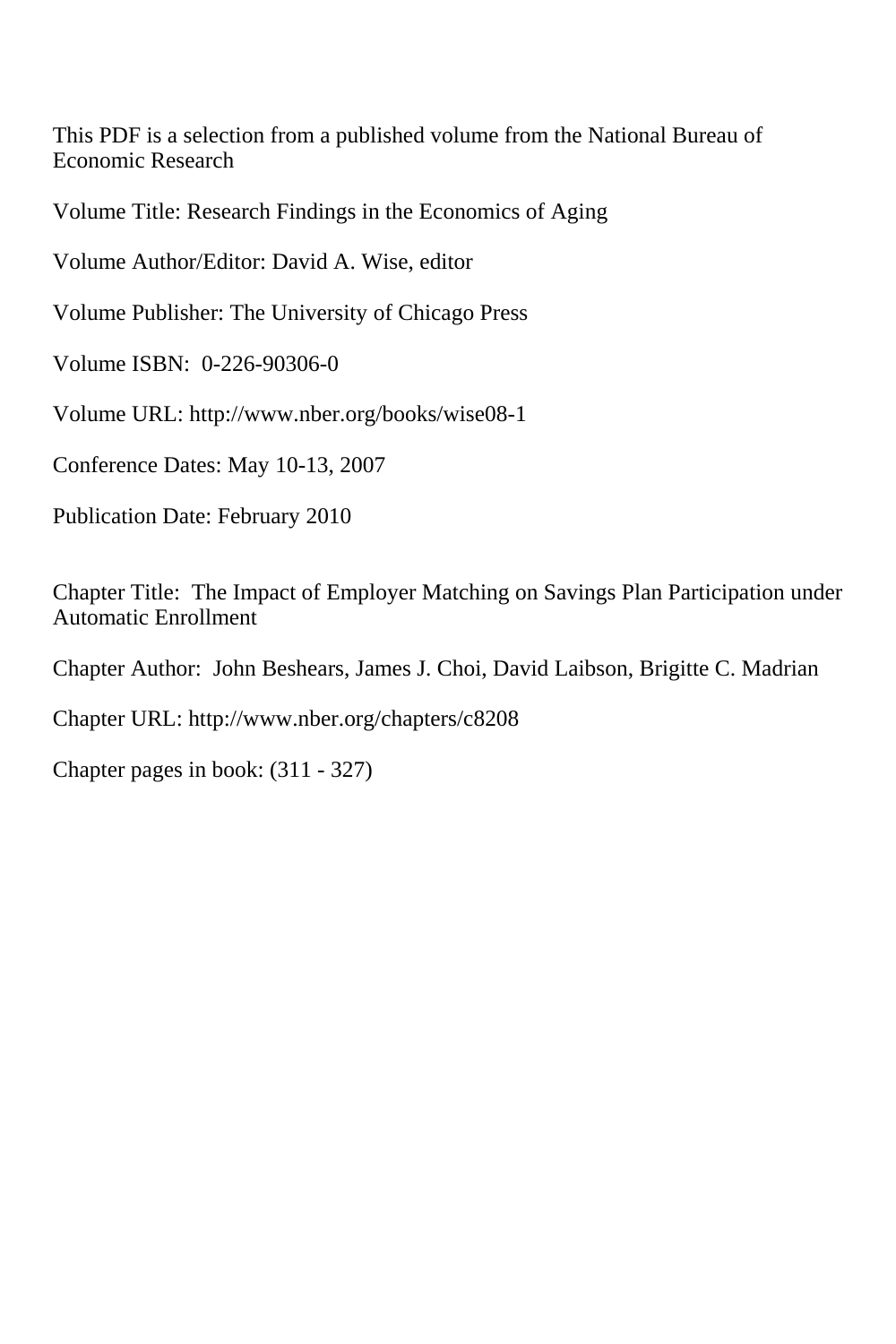This PDF is a selection from a published volume from the National Bureau of Economic Research

Volume Title: Research Findings in the Economics of Aging

Volume Author/Editor: David A. Wise, editor

Volume Publisher: The University of Chicago Press

Volume ISBN: 0-226-90306-0

Volume URL: http://www.nber.org/books/wise08-1

Conference Dates: May 10-13, 2007

Publication Date: February 2010

Chapter Title: The Impact of Employer Matching on Savings Plan Participation under Automatic Enrollment

Chapter Author: John Beshears, James J. Choi, David Laibson, Brigitte C. Madrian

Chapter URL: http://www.nber.org/chapters/c8208

Chapter pages in book: (311 - 327)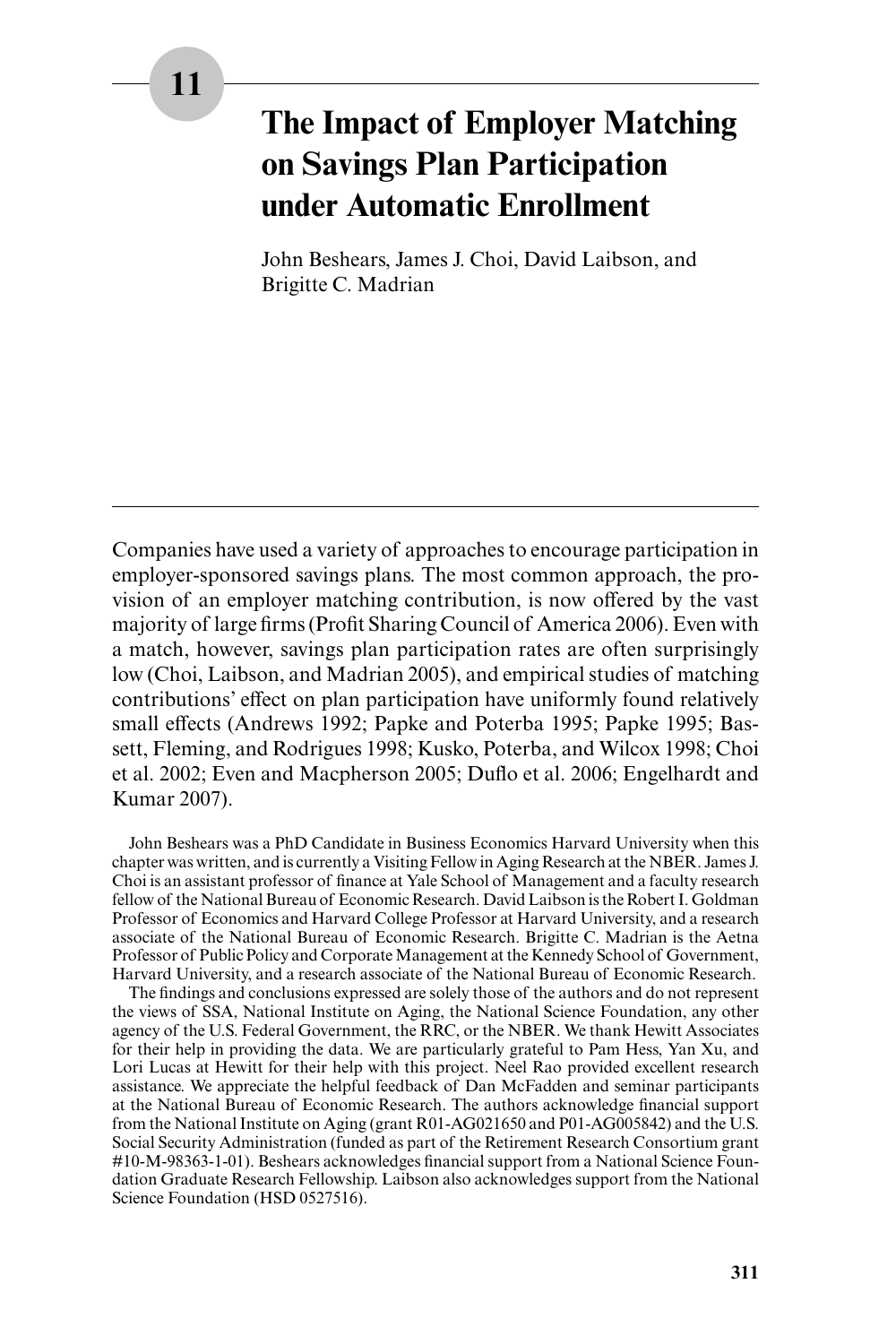# **The Impact of Employer Matching on Savings Plan Participation under Automatic Enrollment**

John Beshears, James J. Choi, David Laibson, and Brigitte C. Madrian

Companies have used a variety of approaches to encourage participation in employer- sponsored savings plans. The most common approach, the provision of an employer matching contribution, is now offered by the vast majority of large firms (Profit Sharing Council of America 2006). Even with a match, however, savings plan participation rates are often surprisingly low (Choi, Laibson, and Madrian 2005), and empirical studies of matching contributions' effect on plan participation have uniformly found relatively small effects (Andrews 1992; Papke and Poterba 1995; Papke 1995; Bassett, Fleming, and Rodrigues 1998; Kusko, Poterba, and Wilcox 1998; Choi et al. 2002; Even and Macpherson 2005; Duflo et al. 2006; Engelhardt and Kumar 2007).

John Beshears was a PhD Candidate in Business Economics Harvard University when this chapter was written, and is currently a Visiting Fellow in Aging Research at the NBER. James J. Choi is an assistant professor of finance at Yale School of Management and a faculty research fellow of the National Bureau of Economic Research. David Laibson is the Robert I. Goldman Professor of Economics and Harvard College Professor at Harvard University, and a research associate of the National Bureau of Economic Research. Brigitte C. Madrian is the Aetna Professor of Public Policy and Corporate Management at the Kennedy School of Government, Harvard University, and a research associate of the National Bureau of Economic Research.

The findings and conclusions expressed are solely those of the authors and do not represent the views of SSA, National Institute on Aging, the National Science Foundation, any other agency of the U.S. Federal Government, the RRC, or the NBER. We thank Hewitt Associates for their help in providing the data. We are particularly grateful to Pam Hess, Yan Xu, and Lori Lucas at Hewitt for their help with this project. Neel Rao provided excellent research assistance. We appreciate the helpful feedback of Dan McFadden and seminar participants at the National Bureau of Economic Research. The authors acknowledge financial support from the National Institute on Aging (grant R01-AG021650 and P01-AG005842) and the U.S. Social Security Administration (funded as part of the Retirement Research Consortium grant #10-M-98363-1-01). Beshears acknowledges financial support from a National Science Foundation Graduate Research Fellowship. Laibson also acknowledges support from the National Science Foundation (HSD 0527516).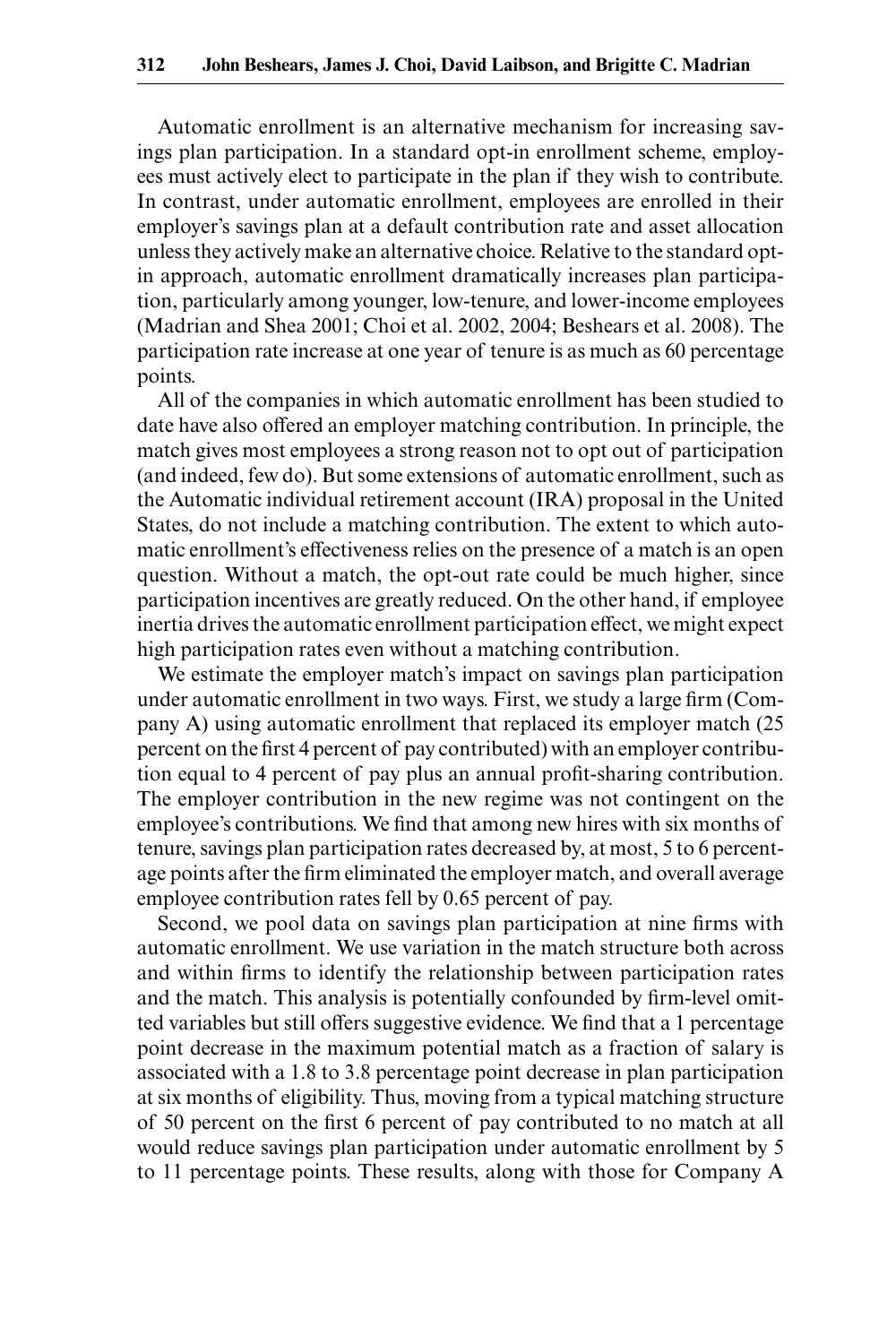Automatic enrollment is an alternative mechanism for increasing savings plan participation. In a standard opt-in enrollment scheme, employees must actively elect to participate in the plan if they wish to contribute. In contrast, under automatic enrollment, employees are enrolled in their employer's savings plan at a default contribution rate and asset allocation unless they actively make an alternative choice. Relative to the standard opt in approach, automatic enrollment dramatically increases plan participation, particularly among younger, low- tenure, and lower- income employees (Madrian and Shea 2001; Choi et al. 2002, 2004; Beshears et al. 2008). The participation rate increase at one year of tenure is as much as 60 percentage points.

All of the companies in which automatic enrollment has been studied to date have also offered an employer matching contribution. In principle, the match gives most employees a strong reason not to opt out of participation (and indeed, few do). But some extensions of automatic enrollment, such as the Automatic individual retirement account (IRA) proposal in the United States, do not include a matching contribution. The extent to which automatic enrollment's effectiveness relies on the presence of a match is an open question. Without a match, the opt-out rate could be much higher, since participation incentives are greatly reduced. On the other hand, if employee inertia drives the automatic enrollment participation effect, we might expect high participation rates even without a matching contribution.

We estimate the employer match's impact on savings plan participation under automatic enrollment in two ways. First, we study a large firm (Company A) using automatic enrollment that replaced its employer match (25 percent on the first 4 percent of pay contributed) with an employer contribution equal to 4 percent of pay plus an annual profit-sharing contribution. The employer contribution in the new regime was not contingent on the employee's contributions. We find that among new hires with six months of tenure, savings plan participation rates decreased by, at most, 5 to 6 percentage points after the firm eliminated the employer match, and overall average employee contribution rates fell by 0.65 percent of pay.

Second, we pool data on savings plan participation at nine firms with automatic enrollment. We use variation in the match structure both across and within firms to identify the relationship between participation rates and the match. This analysis is potentially confounded by firm-level omitted variables but still offers suggestive evidence. We find that a 1 percentage point decrease in the maximum potential match as a fraction of salary is associated with a 1.8 to 3.8 percentage point decrease in plan participation at six months of eligibility. Thus, moving from a typical matching structure of 50 percent on the first 6 percent of pay contributed to no match at all would reduce savings plan participation under automatic enrollment by 5 to 11 percentage points. These results, along with those for Company A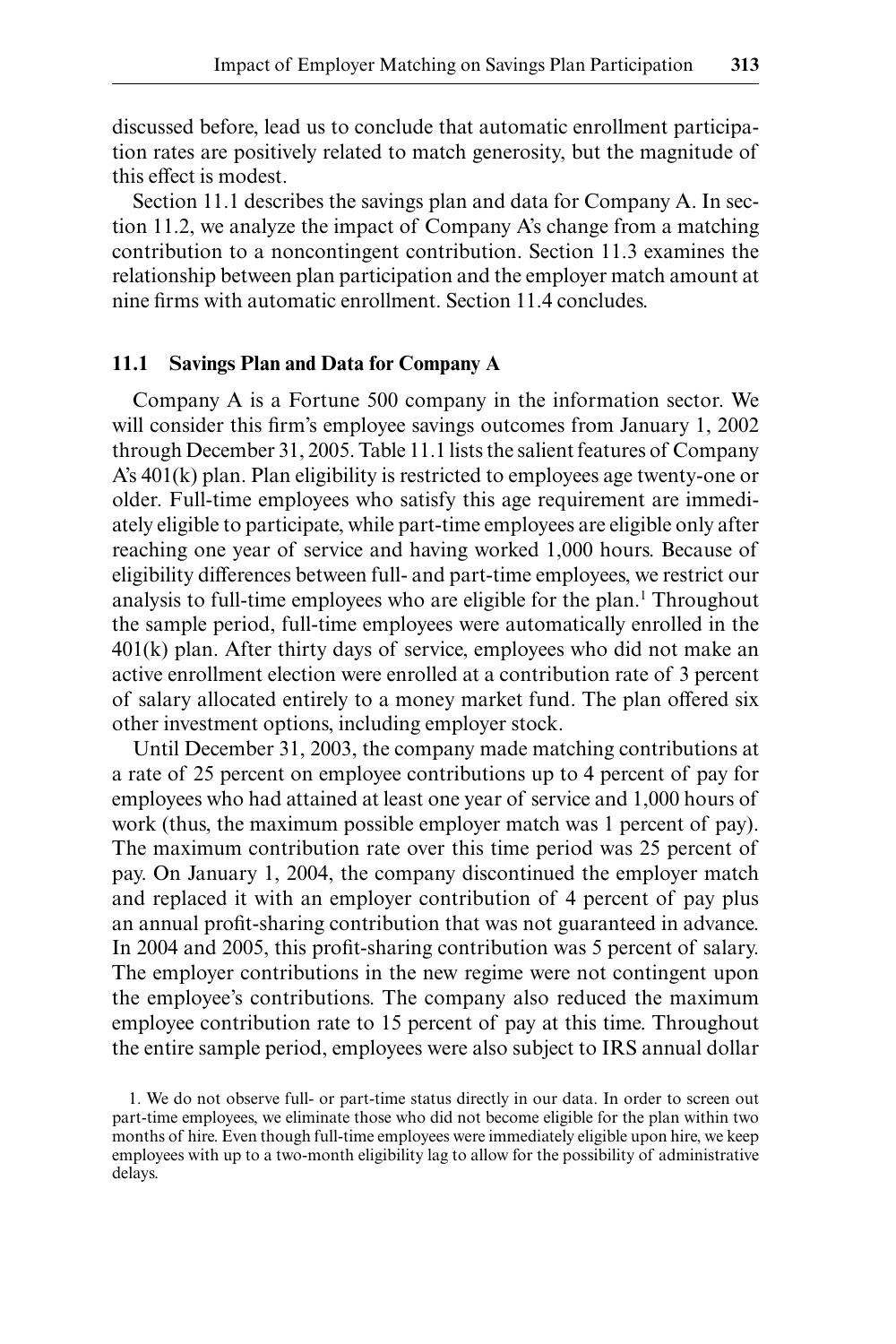discussed before, lead us to conclude that automatic enrollment participation rates are positively related to match generosity, but the magnitude of this effect is modest.

Section 11.1 describes the savings plan and data for Company A. In section 11.2, we analyze the impact of Company A's change from a matching contribution to a noncontingent contribution. Section 11.3 examines the relationship between plan participation and the employer match amount at nine firms with automatic enrollment. Section 11.4 concludes.

### **11.1 Savings Plan and Data for Company A**

Company A is a Fortune 500 company in the information sector. We will consider this firm's employee savings outcomes from January 1, 2002 through December 31, 2005. Table 11.1 lists the salient features of Company  $A's 401(k)$  plan. Plan eligibility is restricted to employees age twenty-one or older. Full- time employees who satisfy this age requirement are immediately eligible to participate, while part- time employees are eligible only after reaching one year of service and having worked 1,000 hours. Because of eligibility differences between full- and part- time employees, we restrict our analysis to full-time employees who are eligible for the plan.<sup>1</sup> Throughout the sample period, full-time employees were automatically enrolled in the 401(k) plan. After thirty days of service, employees who did not make an active enrollment election were enrolled at a contribution rate of 3 percent of salary allocated entirely to a money market fund. The plan offered six other investment options, including employer stock.

Until December 31, 2003, the company made matching contributions at a rate of 25 percent on employee contributions up to 4 percent of pay for employees who had attained at least one year of service and 1,000 hours of work (thus, the maximum possible employer match was 1 percent of pay). The maximum contribution rate over this time period was 25 percent of pay. On January 1, 2004, the company discontinued the employer match and replaced it with an employer contribution of 4 percent of pay plus an annual profit-sharing contribution that was not guaranteed in advance. In 2004 and 2005, this profit-sharing contribution was 5 percent of salary. The employer contributions in the new regime were not contingent upon the employee's contributions. The company also reduced the maximum employee contribution rate to 15 percent of pay at this time. Throughout the entire sample period, employees were also subject to IRS annual dollar

<sup>1.</sup> We do not observe full- or part- time status directly in our data. In order to screen out part- time employees, we eliminate those who did not become eligible for the plan within two months of hire. Even though full-time employees were immediately eligible upon hire, we keep employees with up to a two- month eligibility lag to allow for the possibility of administrative delays.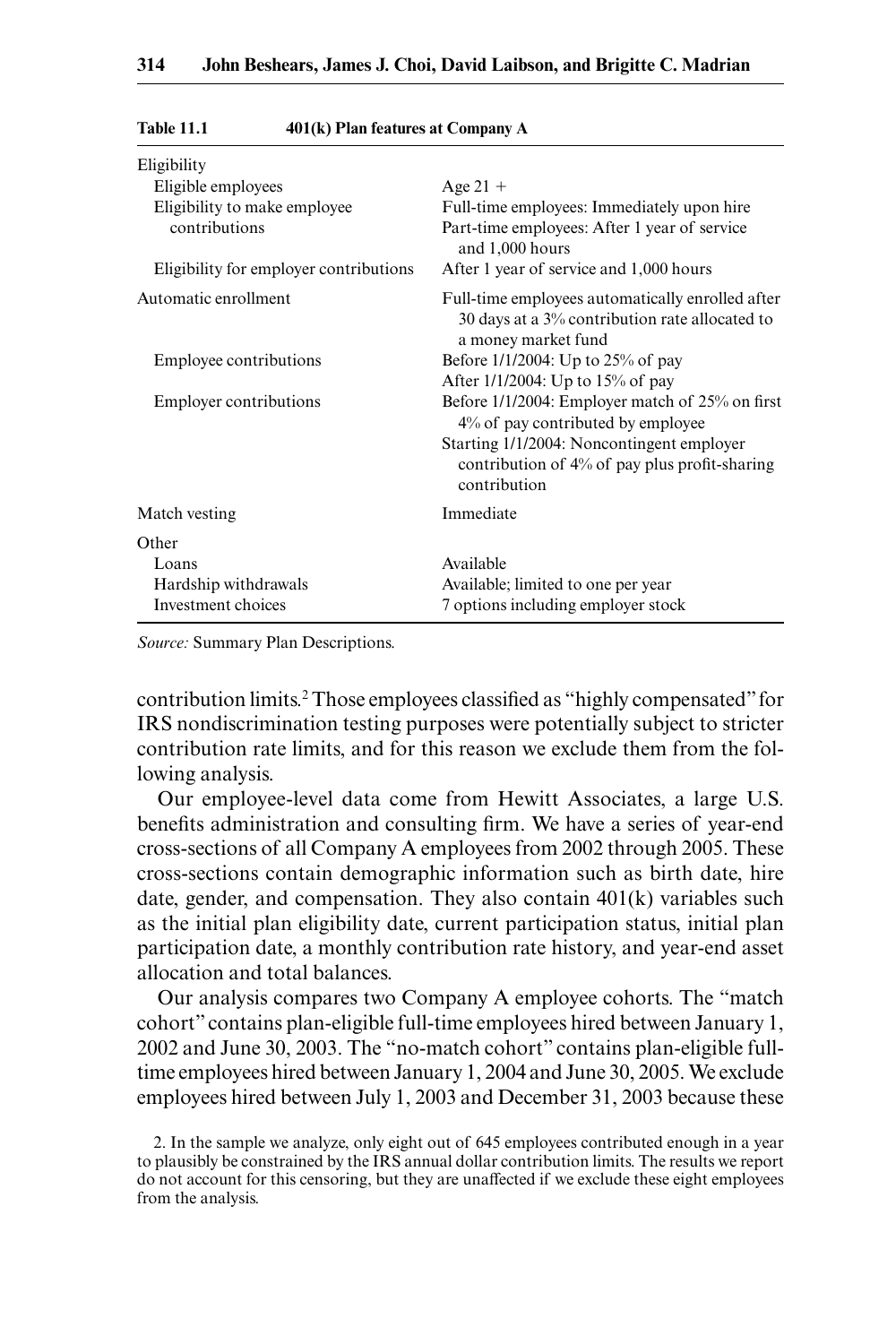| Eligibility                            |                                                                                                                           |
|----------------------------------------|---------------------------------------------------------------------------------------------------------------------------|
| Eligible employees                     | Age $21 +$                                                                                                                |
| Eligibility to make employee           | Full-time employees: Immediately upon hire                                                                                |
| contributions                          | Part-time employees: After 1 year of service<br>and 1,000 hours                                                           |
| Eligibility for employer contributions | After 1 year of service and 1,000 hours                                                                                   |
| Automatic enrollment                   | Full-time employees automatically enrolled after<br>30 days at a 3% contribution rate allocated to<br>a money market fund |
| Employee contributions                 | Before 1/1/2004: Up to 25% of pay                                                                                         |
|                                        | After 1/1/2004: Up to 15% of pay                                                                                          |
| Employer contributions                 | Before 1/1/2004: Employer match of 25% on first<br>4% of pay contributed by employee                                      |
|                                        | Starting 1/1/2004: Noncontingent employer<br>contribution of $4\%$ of pay plus profit-sharing<br>contribution             |
| Match vesting                          | Immediate                                                                                                                 |
| Other                                  |                                                                                                                           |
| Loans                                  | Available                                                                                                                 |
| Hardship withdrawals                   | Available; limited to one per year                                                                                        |
| Investment choices                     | 7 options including employer stock                                                                                        |

#### **Table 11.1 401(k) Plan features at Company A**

*Source:* Summary Plan Descriptions.

contribution limits.<sup>2</sup> Those employees classified as "highly compensated" for IRS nondiscrimination testing purposes were potentially subject to stricter contribution rate limits, and for this reason we exclude them from the following analysis.

Our employee- level data come from Hewitt Associates, a large U.S. benefits administration and consulting firm. We have a series of year-end cross- sections of all Company A employees from 2002 through 2005. These cross- sections contain demographic information such as birth date, hire date, gender, and compensation. They also contain 401(k) variables such as the initial plan eligibility date, current participation status, initial plan participation date, a monthly contribution rate history, and year-end asset allocation and total balances.

Our analysis compares two Company A employee cohorts. The "match cohort" contains plan- eligible full- time employees hired between January 1, 2002 and June 30, 2003. The "no- match cohort" contains plan- eligible full time employees hired between January 1, 2004 and June 30, 2005. We exclude employees hired between July 1, 2003 and December 31, 2003 because these

<sup>2.</sup> In the sample we analyze, only eight out of 645 employees contributed enough in a year to plausibly be constrained by the IRS annual dollar contribution limits. The results we report do not account for this censoring, but they are unaffected if we exclude these eight employees from the analysis.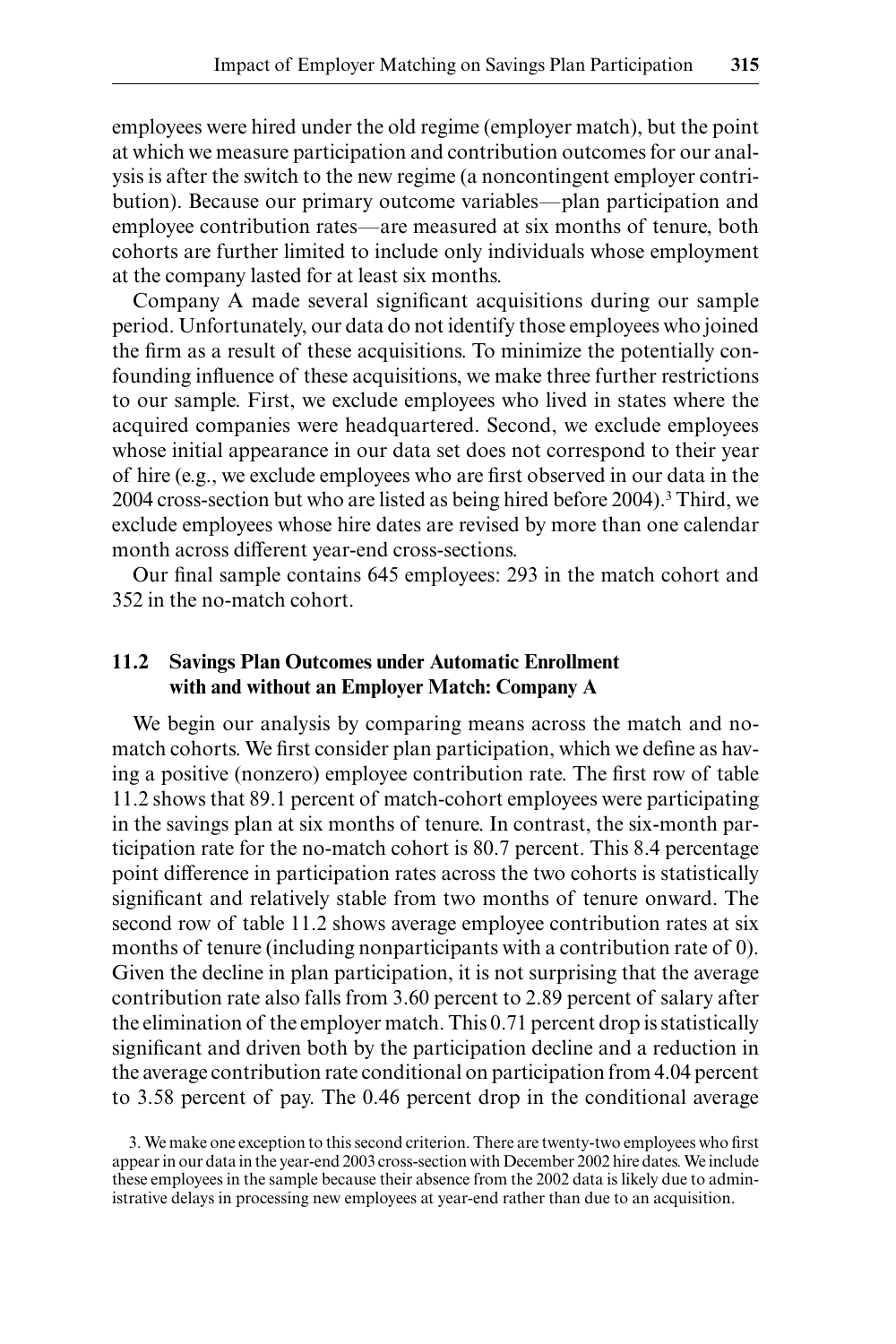employees were hired under the old regime (employer match), but the point at which we measure participation and contribution outcomes for our analysis is after the switch to the new regime (a noncontingent employer contribution). Because our primary outcome variables—plan participation and employee contribution rates—are measured at six months of tenure, both cohorts are further limited to include only individuals whose employment at the company lasted for at least six months.

Company A made several significant acquisitions during our sample period. Unfortunately, our data do not identify those employees who joined the firm as a result of these acquisitions. To minimize the potentially confounding influence of these acquisitions, we make three further restrictions to our sample. First, we exclude employees who lived in states where the acquired companies were headquartered. Second, we exclude employees whose initial appearance in our data set does not correspond to their year of hire (e.g., we exclude employees who are first observed in our data in the 2004 cross-section but who are listed as being hired before 2004).<sup>3</sup> Third, we exclude employees whose hire dates are revised by more than one calendar month across different year-end cross-sections.

Our final sample contains 645 employees: 293 in the match cohort and 352 in the no- match cohort.

## **11.2 Savings Plan Outcomes under Automatic Enrollment with and without an Employer Match: Company A**

We begin our analysis by comparing means across the match and nomatch cohorts. We first consider plan participation, which we define as having a positive (nonzero) employee contribution rate. The first row of table 11.2 shows that 89.1 percent of match- cohort employees were participating in the savings plan at six months of tenure. In contrast, the six- month participation rate for the no- match cohort is 80.7 percent. This 8.4 percentage point difference in participation rates across the two cohorts is statistically significant and relatively stable from two months of tenure onward. The second row of table 11.2 shows average employee contribution rates at six months of tenure (including nonparticipants with a contribution rate of 0). Given the decline in plan participation, it is not surprising that the average contribution rate also falls from 3.60 percent to 2.89 percent of salary after the elimination of the employer match. This 0.71 percent drop is statistically significant and driven both by the participation decline and a reduction in the average contribution rate conditional on participation from 4.04 percent to 3.58 percent of pay. The 0.46 percent drop in the conditional average

<sup>3.</sup> We make one exception to this second criterion. There are twenty-two employees who first appear in our data in the year-end 2003 cross-section with December 2002 hire dates. We include these employees in the sample because their absence from the 2002 data is likely due to administrative delays in processing new employees at year- end rather than due to an acquisition.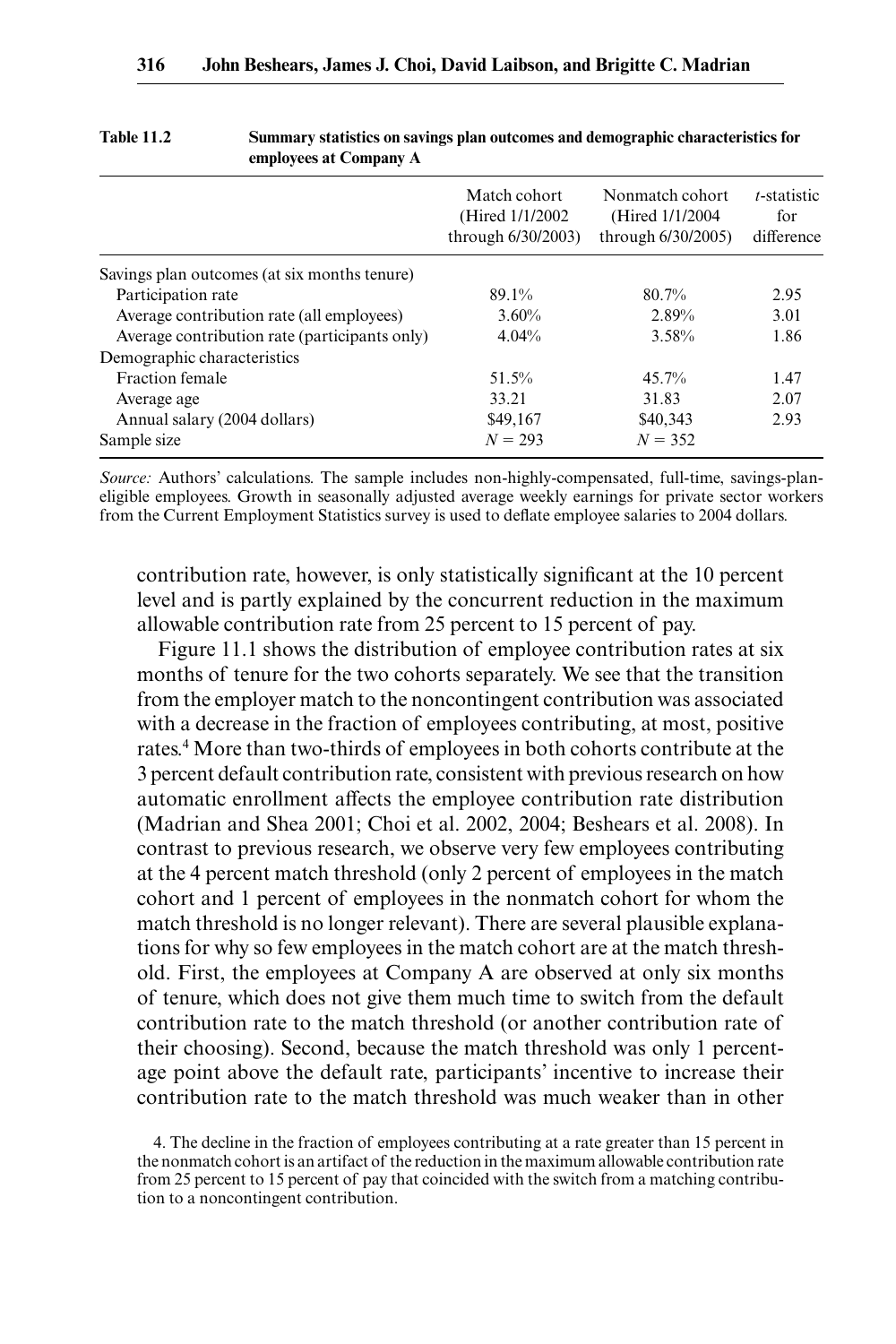|                                               | Match cohort<br>(Hired $1/1/2002$ )<br>through $6/30/2003$ ) | Nonmatch cohort<br>(Hired $1/1/2004$ )<br>through 6/30/2005) | <i>t</i> -statistic<br>for<br>difference |
|-----------------------------------------------|--------------------------------------------------------------|--------------------------------------------------------------|------------------------------------------|
| Savings plan outcomes (at six months tenure)  |                                                              |                                                              |                                          |
| Participation rate                            | 89.1%                                                        | 80.7%                                                        | 2.95                                     |
| Average contribution rate (all employees)     | $3.60\%$                                                     | 2.89%                                                        | 3.01                                     |
| Average contribution rate (participants only) | 4.04%                                                        | 3.58%                                                        | 1.86                                     |
| Demographic characteristics                   |                                                              |                                                              |                                          |
| Fraction female                               | 51.5%                                                        | 45.7%                                                        | 1.47                                     |
| Average age                                   | 33.21                                                        | 31.83                                                        | 2.07                                     |
| Annual salary (2004 dollars)                  | \$49,167                                                     | \$40,343                                                     | 2.93                                     |
| Sample size                                   | $N = 293$                                                    | $N = 352$                                                    |                                          |

#### **Table 11.2 Summary statistics on savings plan outcomes and demographic characteristics for employees at Company A**

*Source:* Authors' calculations. The sample includes non-highly-compensated, full-time, savings-planeligible employees. Growth in seasonally adjusted average weekly earnings for private sector workers from the Current Employment Statistics survey is used to deflate employee salaries to 2004 dollars.

contribution rate, however, is only statistically significant at the 10 percent level and is partly explained by the concurrent reduction in the maximum allowable contribution rate from 25 percent to 15 percent of pay.

Figure 11.1 shows the distribution of employee contribution rates at six months of tenure for the two cohorts separately. We see that the transition from the employer match to the noncontingent contribution was associated with a decrease in the fraction of employees contributing, at most, positive rates.<sup>4</sup> More than two-thirds of employees in both cohorts contribute at the 3 percent default contribution rate, consistent with previous research on how automatic enrollment affects the employee contribution rate distribution (Madrian and Shea 2001; Choi et al. 2002, 2004; Beshears et al. 2008). In contrast to previous research, we observe very few employees contributing at the 4 percent match threshold (only 2 percent of employees in the match cohort and 1 percent of employees in the nonmatch cohort for whom the match threshold is no longer relevant). There are several plausible explanations for why so few employees in the match cohort are at the match threshold. First, the employees at Company A are observed at only six months of tenure, which does not give them much time to switch from the default contribution rate to the match threshold (or another contribution rate of their choosing). Second, because the match threshold was only 1 percentage point above the default rate, participants' incentive to increase their contribution rate to the match threshold was much weaker than in other

<sup>4.</sup> The decline in the fraction of employees contributing at a rate greater than 15 percent in the nonmatch cohort is an artifact of the reduction in the maximum allowable contribution rate from 25 percent to 15 percent of pay that coincided with the switch from a matching contribution to a noncontingent contribution.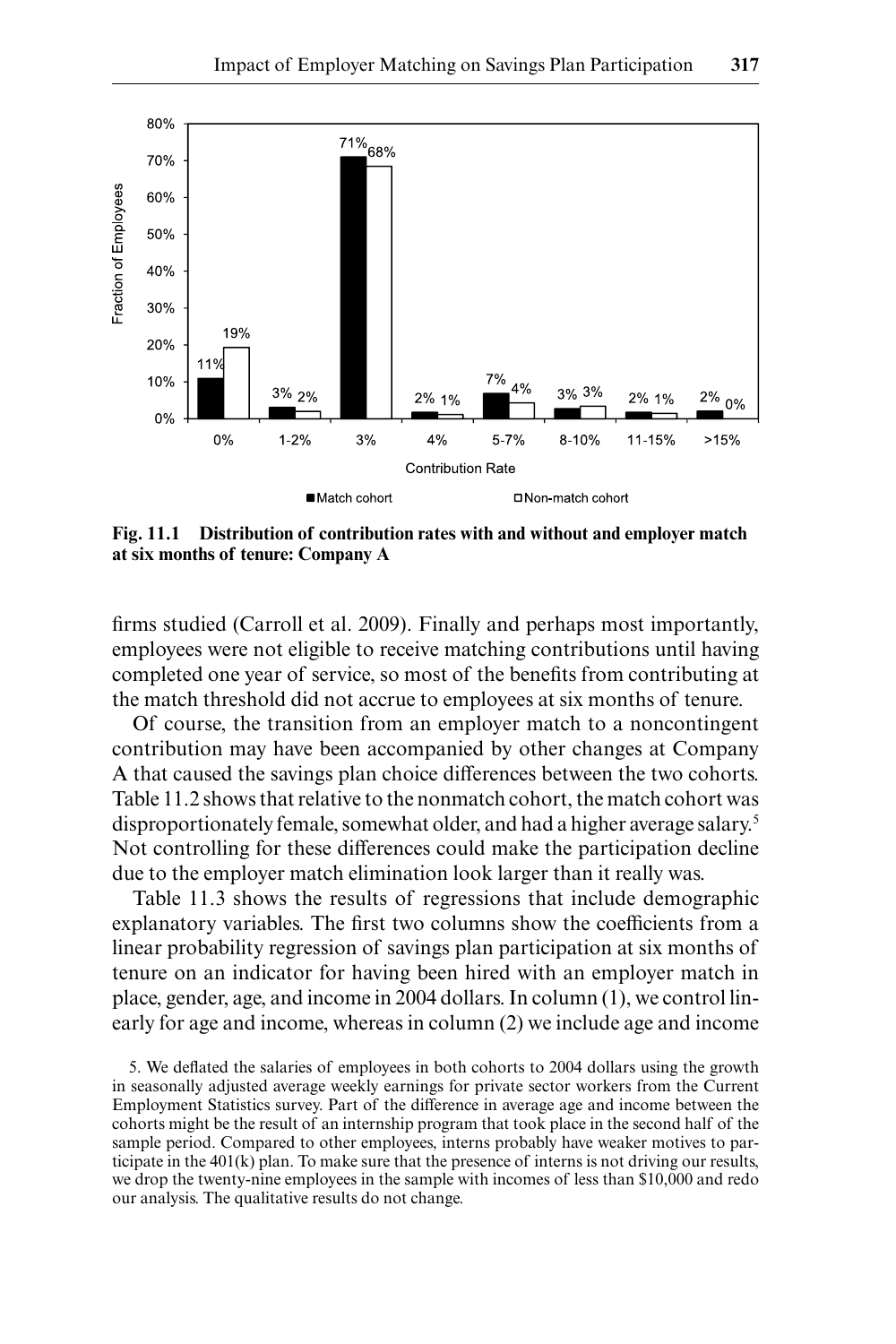

**Fig. 11.1 Distribution of contribution rates with and without and employer match at six months of tenure: Company A**

firms studied (Carroll et al. 2009). Finally and perhaps most importantly, employees were not eligible to receive matching contributions until having completed one year of service, so most of the benefits from contributing at the match threshold did not accrue to employees at six months of tenure.

Of course, the transition from an employer match to a noncontingent contribution may have been accompanied by other changes at Company A that caused the savings plan choice differences between the two cohorts. Table 11.2 shows that relative to the nonmatch cohort, the match cohort was disproportionately female, somewhat older, and had a higher average salary.5 Not controlling for these differences could make the participation decline due to the employer match elimination look larger than it really was.

Table 11.3 shows the results of regressions that include demographic explanatory variables. The first two columns show the coefficients from a linear probability regression of savings plan participation at six months of tenure on an indicator for having been hired with an employer match in place, gender, age, and income in 2004 dollars. In column (1), we control linearly for age and income, whereas in column (2) we include age and income

5. We deflated the salaries of employees in both cohorts to 2004 dollars using the growth in seasonally adjusted average weekly earnings for private sector workers from the Current Employment Statistics survey. Part of the difference in average age and income between the cohorts might be the result of an internship program that took place in the second half of the sample period. Compared to other employees, interns probably have weaker motives to participate in the 401(k) plan. To make sure that the presence of interns is not driving our results, we drop the twenty-nine employees in the sample with incomes of less than \$10,000 and redo our analysis. The qualitative results do not change.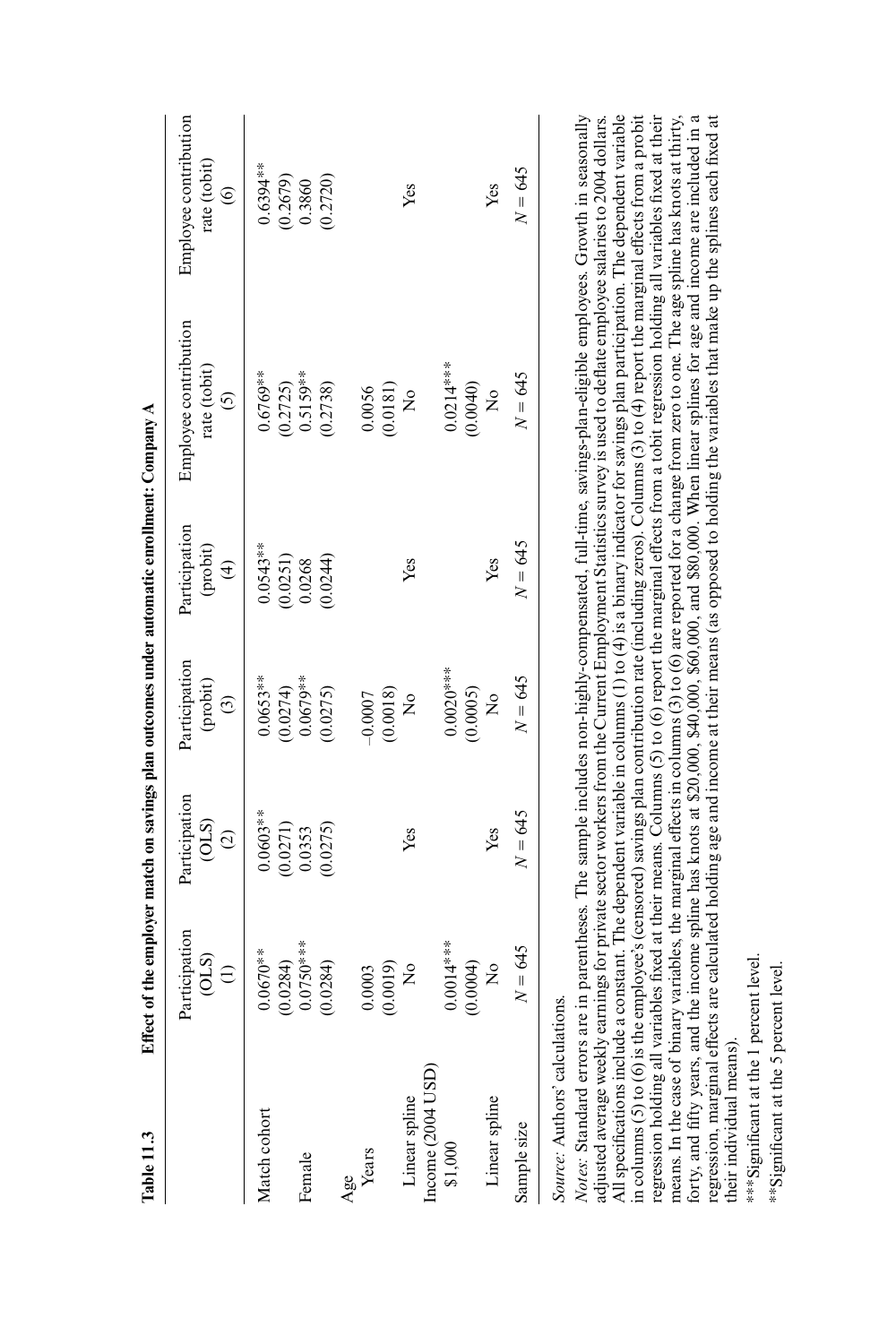| Table 11.3                                    | Effect of the employer match on savings plan outcomes under automatic enrollment: Company $A$ |                                                |                                      |                                                               |                                                  |                                                         |
|-----------------------------------------------|-----------------------------------------------------------------------------------------------|------------------------------------------------|--------------------------------------|---------------------------------------------------------------|--------------------------------------------------|---------------------------------------------------------|
|                                               | Participation<br>$\frac{1}{2}$                                                                | Participation<br>$\frac{\text{OLS}}{\text{2}}$ | Participation<br>(probit)<br>$\odot$ | Participation<br>$(\text{probit})$<br>$\widehat{\mathcal{F}}$ | Employee contribution<br>rate (tobit)<br>$\odot$ | Employee contribution<br>rate (tobit)<br>$\circledcirc$ |
| Match cohort                                  | $0.0670**$<br>(0.0284)                                                                        | $0.0603***$<br>(0.0271)                        | $0.0653**$<br>(0.0274)               | $0.0543**$                                                    | $0.6769**$<br>(0.2725)                           | $0.6394***$                                             |
| Female                                        | $0.0750***$<br>(0.0284)                                                                       | (0.0275)<br>0.0353                             | $0.0679***$<br>(0.0275)              | $(0.0251)$<br>$0.0268$<br>(0.0244)                            | $0.5159***$<br>(0.2738)                          | $(0.2679)$<br>$0.3860$<br>(0.2720)                      |
| Age<br>Years                                  | (0.0019)<br>0.0003                                                                            |                                                | $(0.0018)$<br>No<br>-0.0007          |                                                               | $(0.0181)$<br>No<br>0.0056                       |                                                         |
| Income (2004 USD)<br>Linear spline<br>\$1,000 | $0.0014***$<br>(0.0004)<br>$\frac{1}{2}$                                                      | Yes                                            | $0.0020***$<br>(0.0005)              | Yes                                                           | $0.0214***$<br>(0.0040)                          | Yes                                                     |
| Linear spline                                 | $\frac{1}{2}$                                                                                 | Yes                                            | $\tilde{z}$                          | Yes                                                           | $\frac{1}{2}$                                    | Yes                                                     |
| Sample size                                   | $N = 645$                                                                                     | $N = 645$                                      | $N = 645$                            | $N = 645$                                                     | $N = 645$                                        | $N = 645$                                               |
|                                               |                                                                                               |                                                |                                      |                                                               |                                                  |                                                         |

Source: Authors' calculations. *Source:* Authors' calculations.

Notes: Standard errors are in parentheses. The sample includes non-highly-compensated, full-time, savings-plan-eligible employees. Growth in seasonally adjusted average weekly earnings for private sector workers from the Current Employment Statistics survey is used to defl ate employee salaries to 2004 dollars. All specifications include a constant. The dependent variable in columns (1) to (4) is a binary indicator for savings plan participation. The dependent variable in columns (5) to (6) is the employee's (censored) savings plan contribution rate (including zeros). Columns (3) to (4) report the marginal effects from a probit regression holding all variables fixed at their means. Columns (5) to (6) report the marginal effects from a tobit regression holding all variables fixed at their means. In the case of binary variables, the marginal effects in columns (3) to (6) are reported for a change from zero to one. The age spline has knots at thirty, orty, and fifty years, and the income spline has knots at \$20,000, \$40,000, \$60,000, and \$80,000. When linear splines for age and income are included in a forty, and fi fty years, and the income spline has knots at \$20,000, \$40,000, \$60,000, and \$80,000. When linear splines for age and income are included in a regression, marginal effects are calculated holding age and income at their means (as opposed to holding the variables that make up the splines each fi xed at Notes: Standard errors are in parentheses. The sample includes non-highly-compensated, full-time, savings-plan-eligible employees. Growth in seasonally adjusted average weekly earnings for private sector workers from the Current Employment Statistics survey is used to deflate employee salaries to 2004 dollars. All specifications include a constant. The dependent variable in columns (1) to (4) is a binary indicator for savings plan participation. The dependent variable n columns (5) to (6) is the employee's (censored) savings plan contribution rate (including zeros). Columns (3) to (4) report the marginal effects from a probit regression holding all variables fixed at their means. Columns (5) to (6) report the marginal effects from a tobit regression holding all variables fixed at their means. In the case of binary variables, the marginal effects in columns (3) to (6) are reported for a change from zero to one. The age spline has knots at thirty, regression, marginal effects are calculated holding age and income at their means (as opposed to holding the variables that make up the splines each fixed at heir individual means). their individual means).

\*\*\* Significant at the 1 percent level. ∗∗∗Signifi cant at the 1 percent level.

∗∗Signifi cant at the 5 percent level.\*\*Significant at the 5 percent level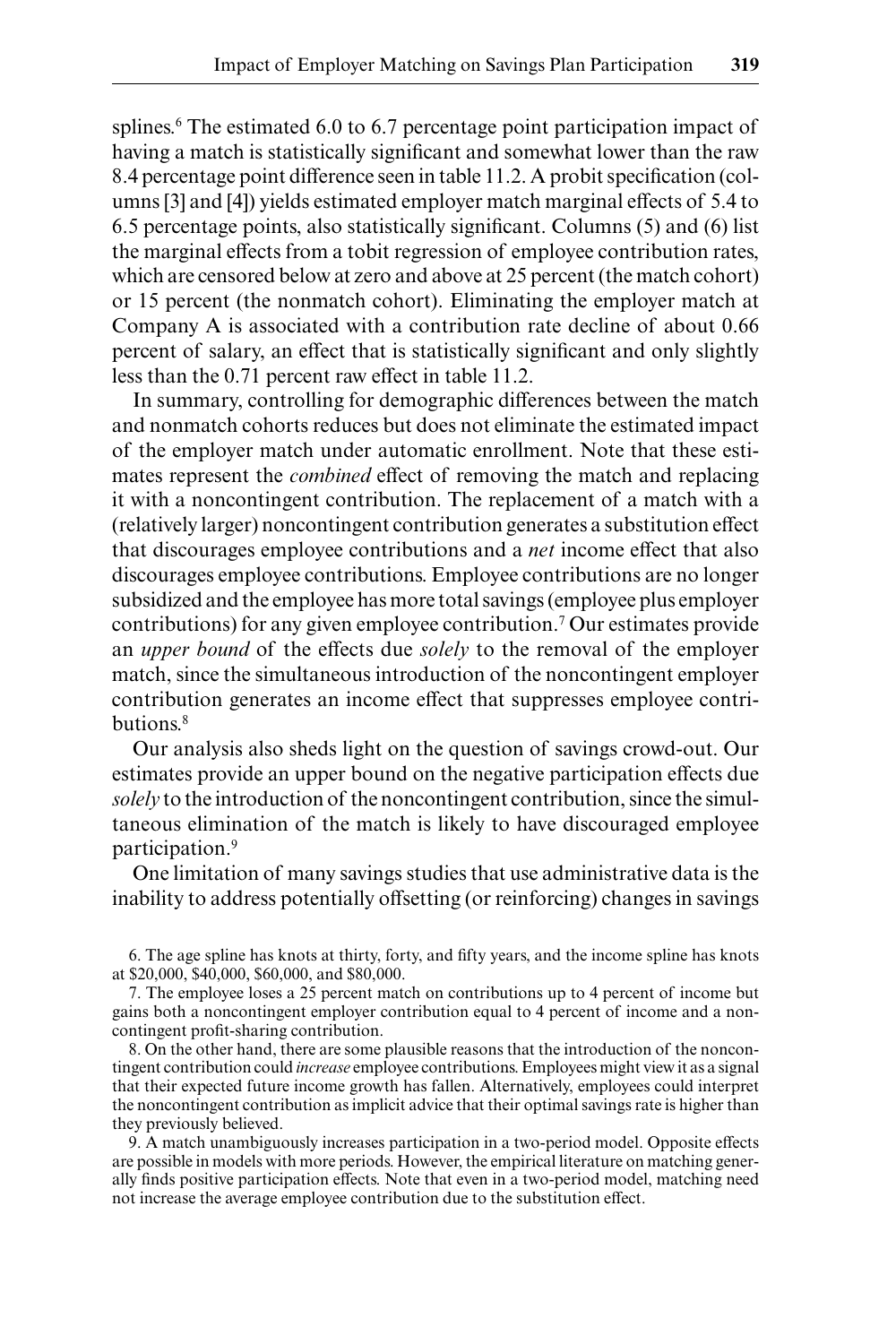splines.<sup>6</sup> The estimated 6.0 to 6.7 percentage point participation impact of having a match is statistically significant and somewhat lower than the raw 8.4 percentage point difference seen in table 11.2. A probit specification (columns [3] and [4]) yields estimated employer match marginal effects of 5.4 to 6.5 percentage points, also statistically significant. Columns  $(5)$  and  $(6)$  list the marginal effects from a tobit regression of employee contribution rates, which are censored below at zero and above at 25 percent (the match cohort) or 15 percent (the nonmatch cohort). Eliminating the employer match at Company A is associated with a contribution rate decline of about 0.66 percent of salary, an effect that is statistically significant and only slightly less than the 0.71 percent raw effect in table 11.2.

In summary, controlling for demographic differences between the match and nonmatch cohorts reduces but does not eliminate the estimated impact of the employer match under automatic enrollment. Note that these estimates represent the *combined* effect of removing the match and replacing it with a noncontingent contribution. The replacement of a match with a (relatively larger) noncontingent contribution generates a substitution effect that discourages employee contributions and a *net* income effect that also discourages employee contributions. Employee contributions are no longer subsidized and the employee has more total savings (employee plus employer contributions) for any given employee contribution.7 Our estimates provide an *upper bound* of the effects due *solely* to the removal of the employer match, since the simultaneous introduction of the noncontingent employer contribution generates an income effect that suppresses employee contributions.<sup>8</sup>

Our analysis also sheds light on the question of savings crowd- out. Our estimates provide an upper bound on the negative participation effects due *solely* to the introduction of the noncontingent contribution, since the simultaneous elimination of the match is likely to have discouraged employee participation.9

One limitation of many savings studies that use administrative data is the inability to address potentially offsetting (or reinforcing) changes in savings

6. The age spline has knots at thirty, forty, and fifty years, and the income spline has knots at \$20,000, \$40,000, \$60,000, and \$80,000.

7. The employee loses a 25 percent match on contributions up to 4 percent of income but gains both a noncontingent employer contribution equal to 4 percent of income and a noncontingent profit-sharing contribution.

8. On the other hand, there are some plausible reasons that the introduction of the noncontingent contribution could *increase* employee contributions. Employees might view it as a signal that their expected future income growth has fallen. Alternatively, employees could interpret the noncontingent contribution as implicit advice that their optimal savings rate is higher than they previously believed.

9. A match unambiguously increases participation in a two- period model. Opposite effects are possible in models with more periods. However, the empirical literature on matching generally finds positive participation effects. Note that even in a two-period model, matching need not increase the average employee contribution due to the substitution effect.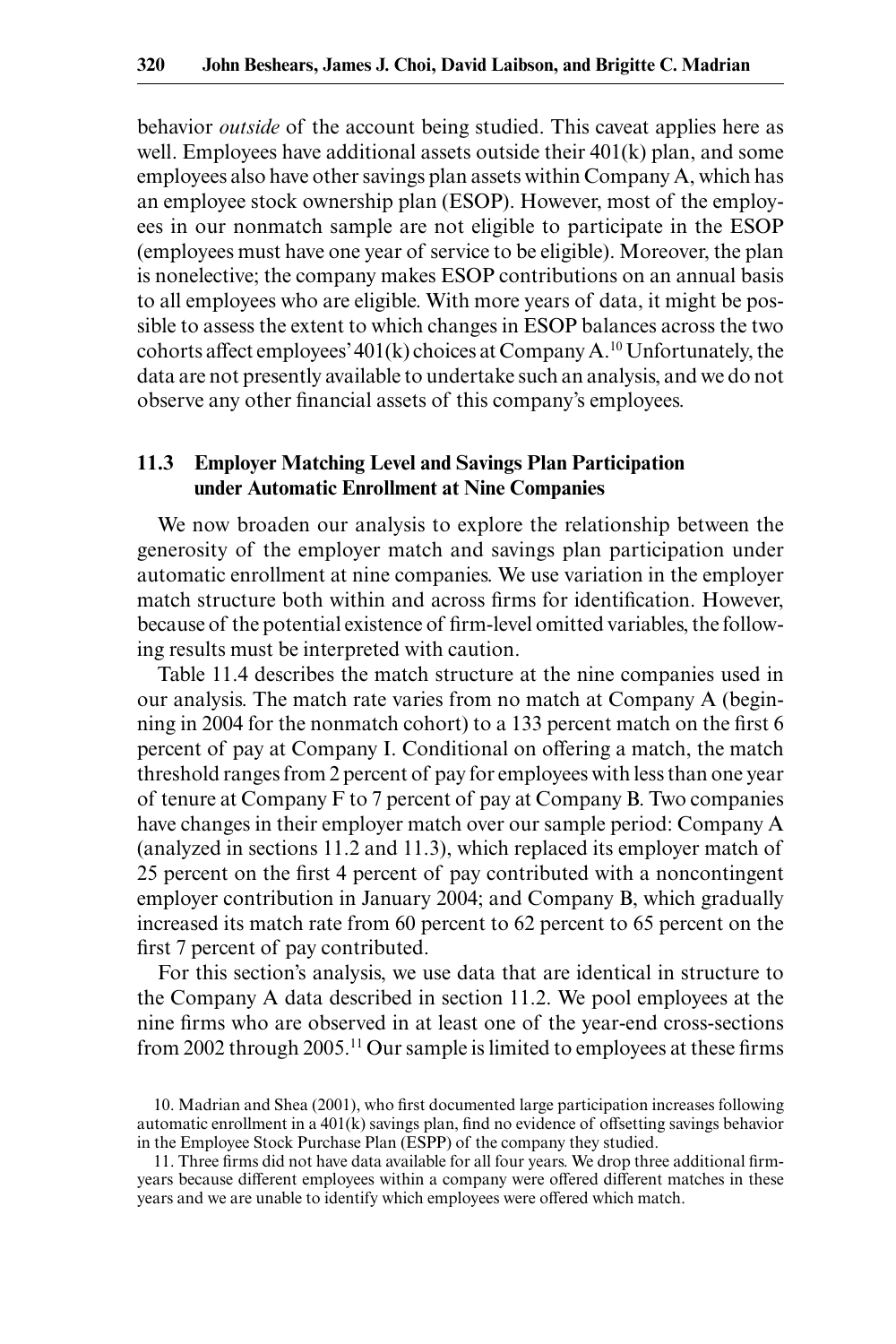behavior *outside* of the account being studied. This caveat applies here as well. Employees have additional assets outside their 401(k) plan, and some employees also have other savings plan assets within Company A, which has an employee stock ownership plan (ESOP). However, most of the employees in our nonmatch sample are not eligible to participate in the ESOP (employees must have one year of service to be eligible). Moreover, the plan is nonelective; the company makes ESOP contributions on an annual basis to all employees who are eligible. With more years of data, it might be possible to assess the extent to which changes in ESOP balances across the two cohorts affect employees'  $401(k)$  choices at Company A.<sup>10</sup> Unfortunately, the data are not presently available to undertake such an analysis, and we do not observe any other financial assets of this company's employees.

## **11.3 Employer Matching Level and Savings Plan Participation under Automatic Enrollment at Nine Companies**

We now broaden our analysis to explore the relationship between the generosity of the employer match and savings plan participation under automatic enrollment at nine companies. We use variation in the employer match structure both within and across firms for identification. However, because of the potential existence of firm-level omitted variables, the following results must be interpreted with caution.

Table 11.4 describes the match structure at the nine companies used in our analysis. The match rate varies from no match at Company A (beginning in 2004 for the nonmatch cohort) to a 133 percent match on the first 6 percent of pay at Company I. Conditional on offering a match, the match threshold ranges from 2 percent of pay for employees with less than one year of tenure at Company F to 7 percent of pay at Company B. Two companies have changes in their employer match over our sample period: Company A (analyzed in sections 11.2 and 11.3), which replaced its employer match of 25 percent on the first 4 percent of pay contributed with a noncontingent employer contribution in January 2004; and Company B, which gradually increased its match rate from 60 percent to 62 percent to 65 percent on the first 7 percent of pay contributed.

For this section's analysis, we use data that are identical in structure to the Company A data described in section 11.2. We pool employees at the nine firms who are observed in at least one of the year-end cross-sections from 2002 through 2005.<sup>11</sup> Our sample is limited to employees at these firms

<sup>10.</sup> Madrian and Shea (2001), who first documented large participation increases following automatic enrollment in a  $401(k)$  savings plan, find no evidence of offsetting savings behavior in the Employee Stock Purchase Plan (ESPP) of the company they studied.

<sup>11.</sup> Three firms did not have data available for all four years. We drop three additional firm years because different employees within a company were offered different matches in these years and we are unable to identify which employees were offered which match.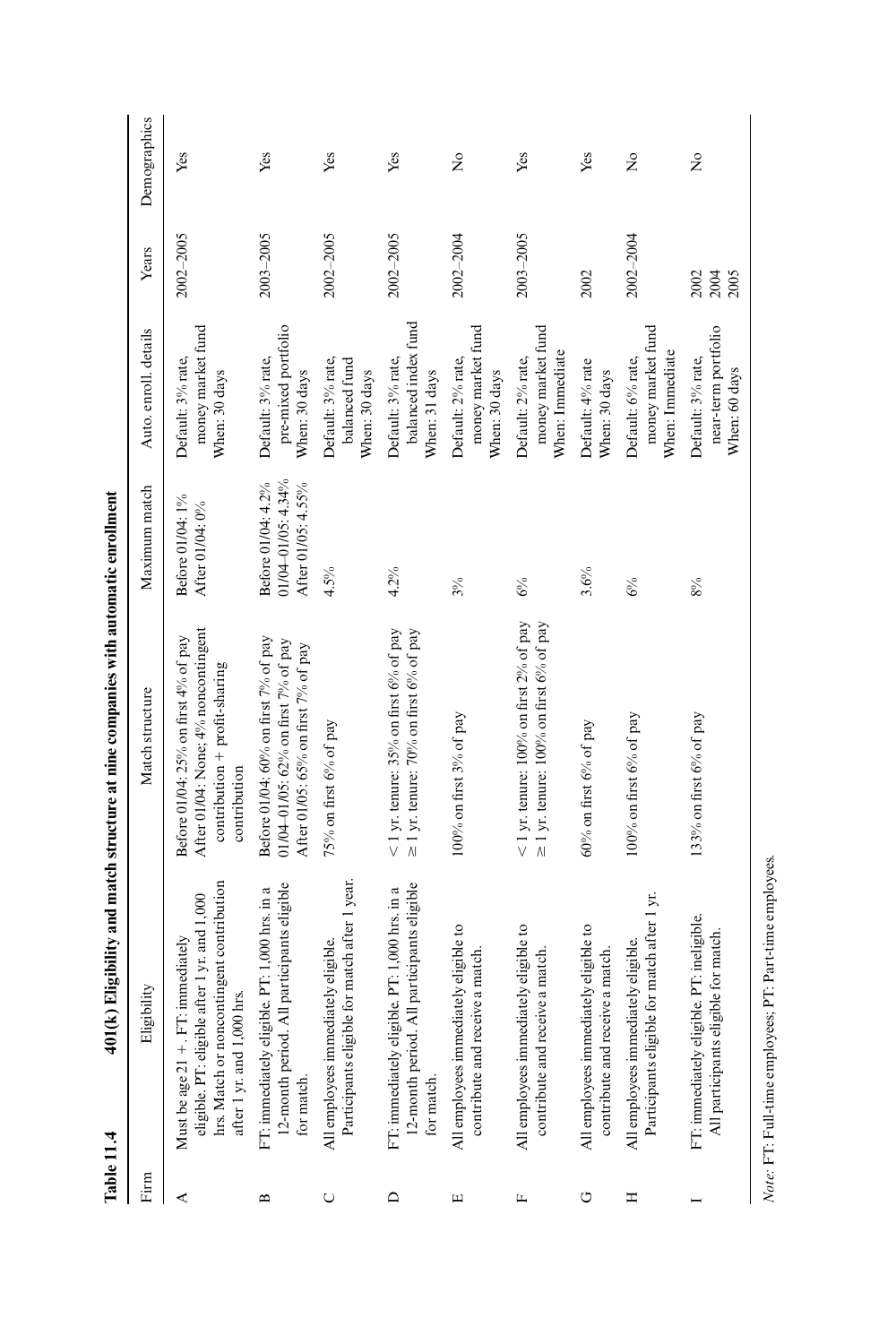| Table 11.4   |                                                                                                                                                                   | 401(k) Eligibility and match structure at nine companies with automatic enrollment                                           |                                                                    |                                                           |                      |              |
|--------------|-------------------------------------------------------------------------------------------------------------------------------------------------------------------|------------------------------------------------------------------------------------------------------------------------------|--------------------------------------------------------------------|-----------------------------------------------------------|----------------------|--------------|
| Firm         | Eligibility                                                                                                                                                       | Match structure                                                                                                              | Maximum match                                                      | Auto. enroll. details                                     | Years                | Demographics |
| ≺            | hrs. Match or noncontingent contribution<br>eligible. PT: eligible after 1 yr. and 1,000<br>FT: immediately<br>after 1 yr. and 1,000 hrs.<br>Must be age $21 +$ . | After 01/04: None; 4% noncontingent<br>Before 01/04: 25% on first 4% of pay<br>contribution + profit-sharing<br>contribution | Before 01/04: 1%<br>After 01/04: 0%                                | money market fund<br>Default: 3% rate,<br>When: 30 days   | 2002-2005            | Yes          |
| $\mathbf{r}$ | 12-month period. All participants eligible<br>FT: immediately eligible. PT: 1,000 hrs. in a<br>for match.                                                         | Before 01/04: $60\%$ on first $7\%$ of pay<br>01/04-01/05: 62% on first 7% of pay<br>After 01/05: 65% on first 7% of pay     | $01/04 - 01/05: 4.34%$<br>Before 01/04: 4.2%<br>After 01/05: 4.55% | pre-mixed portfolio<br>Default: 3% rate,<br>When: 30 days | 2003-2005            | Yes          |
| Õ            | Participants eligible for match after 1 year.<br>All employees immediately eligible.                                                                              | 75% on first 6% of pay                                                                                                       | 4.5%                                                               | Default: 3% rate,<br>balanced fund<br>When: 30 days       | 2002-2005            | Yes          |
| ≏            | 12-month period. All participants eligible<br>FT: immediately eligible. PT: 1,000 hrs. in a<br>for match.                                                         | $<$ 1 yr. tenure: 35% on first 6% of pay<br>$\geq$ 1 yr. tenure: 70% on first 6% of pay                                      | $4.2\%$                                                            | balanced index fund<br>Default: 3% rate,<br>When: 31 days | 2002-2005            | Yes          |
| Щ            | All employees immediately eligible to<br>contribute and receive a match.                                                                                          | 100% on first 3% of pay                                                                                                      | $3\%$                                                              | money market fund<br>Default: 2% rate,<br>When: 30 days   | 2002-2004            | $\tilde{z}$  |
| щ            | All employees immediately eligible to<br>contribute and receive a match.                                                                                          | $<$ 1 yr. tenure: 100% on first 2% of pay<br>$\geq$ 1 yr. tenure: 100% on first 6% of pay                                    | 6%                                                                 | money market fund<br>When: Immediate<br>Default: 2% rate, | 2003-2005            | Yes          |
| O            | All employees immediately eligible to<br>contribute and receive a match.                                                                                          | 60% on first 6% of pay                                                                                                       | 3.6%                                                               | Default: 4% rate<br>When: 30 days                         | 2002                 | Yes          |
| Ξ            | Participants eligible for match after 1 yr.<br>All employees immediately eligible.                                                                                | 100% on first 6% of pay                                                                                                      | 6%                                                                 | money market fund<br>When: Immediate<br>Default: 6% rate, | 2002-2004            | $\tilde{z}$  |
|              | FT: immediately eligible. PT: ineligible.<br>eligible for match.<br>All participants                                                                              | 133% on first $6\%$ of pay                                                                                                   | $8\%$                                                              | near-term portfolio<br>Default: 3% rate,<br>When: 60 days | 2002<br>2004<br>2005 | ż            |

 $\emph{Note: FT: Full-time employees; PT: Part-time employees.}$ *Note:* FT: Full- time employees; PT: Part- time employees.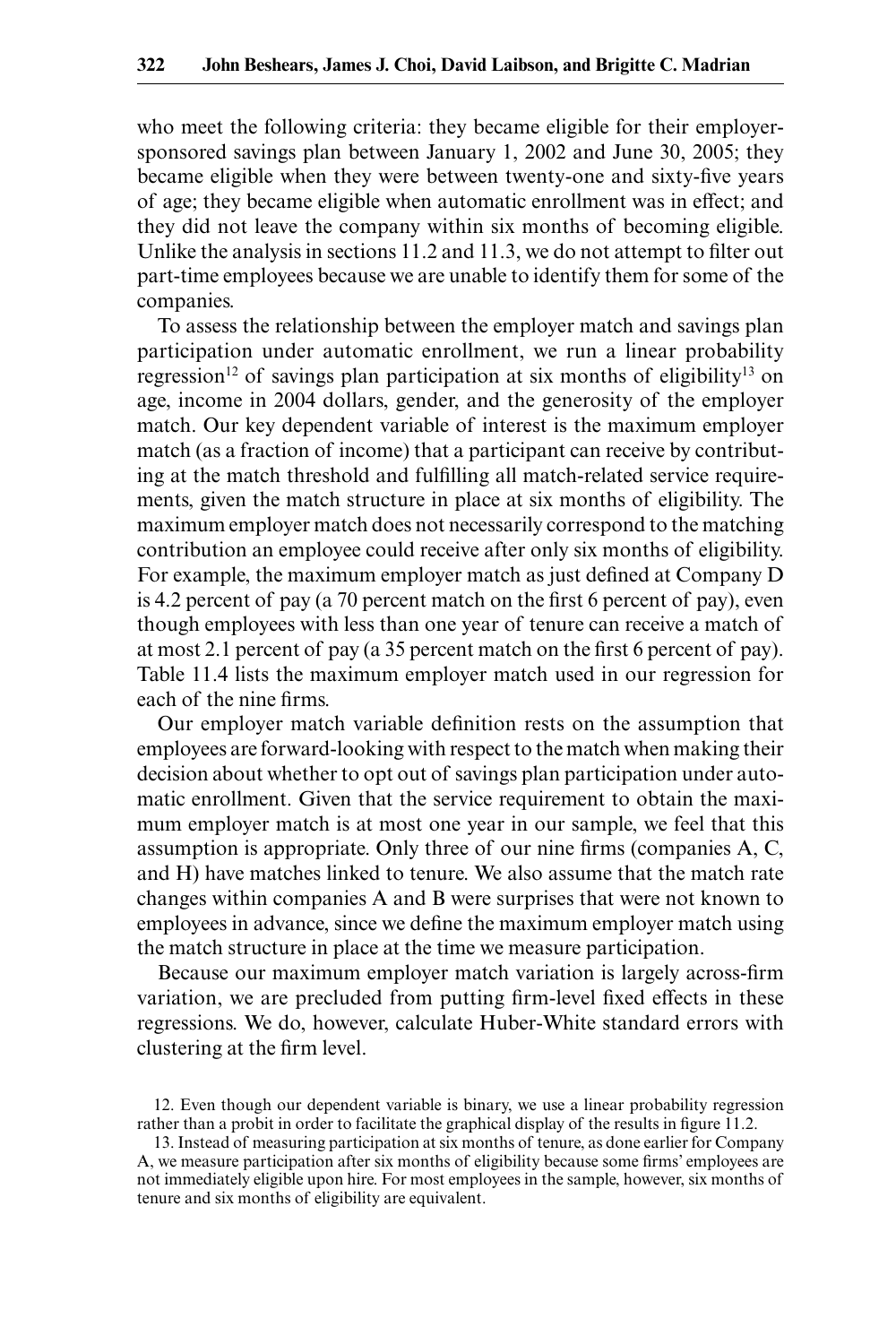who meet the following criteria: they became eligible for their employer sponsored savings plan between January 1, 2002 and June 30, 2005; they became eligible when they were between twenty-one and sixty-five years of age; they became eligible when automatic enrollment was in effect; and they did not leave the company within six months of becoming eligible. Unlike the analysis in sections  $11.2$  and  $11.3$ , we do not attempt to filter out part- time employees because we are unable to identify them for some of the companies.

To assess the relationship between the employer match and savings plan participation under automatic enrollment, we run a linear probability regression<sup>12</sup> of savings plan participation at six months of eligibility<sup>13</sup> on age, income in 2004 dollars, gender, and the generosity of the employer match. Our key dependent variable of interest is the maximum employer match (as a fraction of income) that a participant can receive by contributing at the match threshold and fulfilling all match-related service requirements, given the match structure in place at six months of eligibility. The maximum employer match does not necessarily correspond to the matching contribution an employee could receive after only six months of eligibility. For example, the maximum employer match as just defined at Company D is 4.2 percent of pay (a 70 percent match on the first 6 percent of pay), even though employees with less than one year of tenure can receive a match of at most 2.1 percent of pay (a 35 percent match on the first 6 percent of pay). Table 11.4 lists the maximum employer match used in our regression for each of the nine firms.

Our employer match variable definition rests on the assumption that employees are forward- looking with respect to the match when making their decision about whether to opt out of savings plan participation under automatic enrollment. Given that the service requirement to obtain the maximum employer match is at most one year in our sample, we feel that this assumption is appropriate. Only three of our nine firms (companies  $A, C$ , and H) have matches linked to tenure. We also assume that the match rate changes within companies A and B were surprises that were not known to employees in advance, since we define the maximum employer match using the match structure in place at the time we measure participation.

Because our maximum employer match variation is largely across-firm variation, we are precluded from putting firm-level fixed effects in these regressions. We do, however, calculate Huber- White standard errors with clustering at the firm level.

<sup>12.</sup> Even though our dependent variable is binary, we use a linear probability regression rather than a probit in order to facilitate the graphical display of the results in figure 11.2.

<sup>13.</sup> Instead of measuring participation at six months of tenure, as done earlier for Company A, we measure participation after six months of eligibility because some firms' employees are not immediately eligible upon hire. For most employees in the sample, however, six months of tenure and six months of eligibility are equivalent.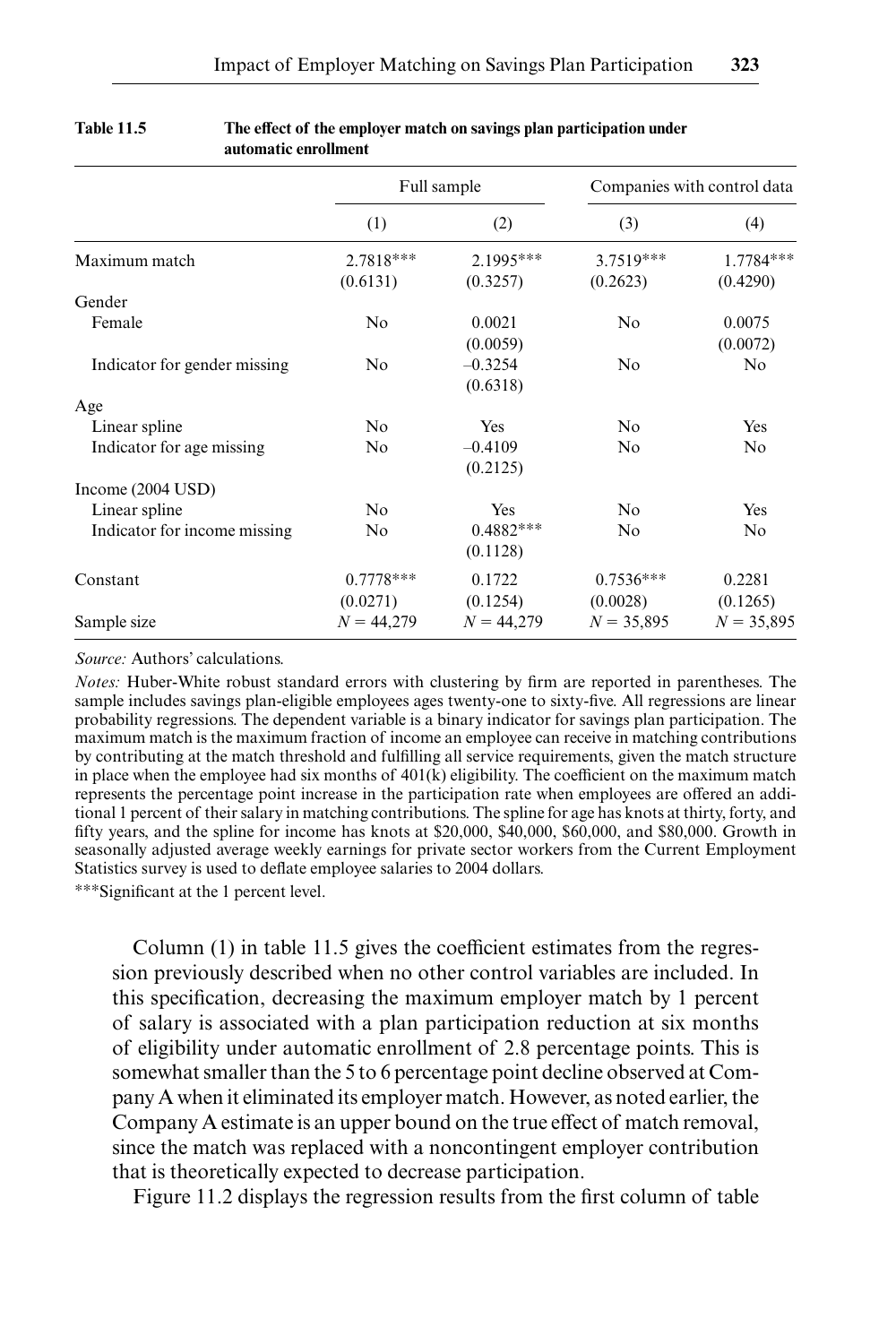|                              | Full sample             |                         |                         | Companies with control data |
|------------------------------|-------------------------|-------------------------|-------------------------|-----------------------------|
|                              | (1)                     | (2)                     | (3)                     | (4)                         |
| Maximum match                | 2.7818***<br>(0.6131)   | 2.1995***<br>(0.3257)   | 3.7519***<br>(0.2623)   | 1.7784***<br>(0.4290)       |
| Gender                       |                         |                         |                         |                             |
| Female                       | No                      | 0.0021<br>(0.0059)      | No                      | 0.0075<br>(0.0072)          |
| Indicator for gender missing | N <sub>o</sub>          | $-0.3254$<br>(0.6318)   | N <sub>0</sub>          | N <sub>0</sub>              |
| Age                          |                         |                         |                         |                             |
| Linear spline                | N <sub>o</sub>          | Yes                     | N <sub>o</sub>          | Yes                         |
| Indicator for age missing    | No                      | $-0.4109$<br>(0.2125)   | No                      | No                          |
| Income $(2004$ USD)          |                         |                         |                         |                             |
| Linear spline                | N <sub>o</sub>          | Yes                     | N <sub>o</sub>          | Yes                         |
| Indicator for income missing | N <sub>o</sub>          | $0.4882***$<br>(0.1128) | No                      | No                          |
| Constant                     | $0.7778***$<br>(0.0271) | 0.1722<br>(0.1254)      | $0.7536***$<br>(0.0028) | 0.2281<br>(0.1265)          |
| Sample size                  | $N = 44,279$            | $N = 44,279$            | $N = 35,895$            | $N = 35,895$                |

#### **Table 11.5** The effect of the employer match on savings plan participation under **automatic enrollment**

*Source:* Authors' calculations.

*Notes:* Huber-White robust standard errors with clustering by firm are reported in parentheses. The sample includes savings plan-eligible employees ages twenty-one to sixty-five. All regressions are linear probability regressions. The dependent variable is a binary indicator for savings plan participation. The maximum match is the maximum fraction of income an employee can receive in matching contributions by contributing at the match threshold and fulfilling all service requirements, given the match structure in place when the employee had six months of  $401(k)$  eligibility. The coefficient on the maximum match represents the percentage point increase in the participation rate when employees are offered an additional 1 percent of their salary in matching contributions. The spline for age has knots at thirty, forty, and fifty years, and the spline for income has knots at  $$20,000$ ,  $$40,000$ ,  $$60,000$ , and  $$80,000$ . Growth in seasonally adjusted average weekly earnings for private sector workers from the Current Employment Statistics survey is used to deflate employee salaries to 2004 dollars.

∗∗∗Signifi cant at the 1 percent level.

Column (1) in table 11.5 gives the coefficient estimates from the regression previously described when no other control variables are included. In this specification, decreasing the maximum employer match by 1 percent of salary is associated with a plan participation reduction at six months of eligibility under automatic enrollment of 2.8 percentage points. This is somewhat smaller than the 5 to 6 percentage point decline observed at Company A when it eliminated its employer match. However, as noted earlier, the Company A estimate is an upper bound on the true effect of match removal, since the match was replaced with a noncontingent employer contribution that is theoretically expected to decrease participation.

Figure 11.2 displays the regression results from the first column of table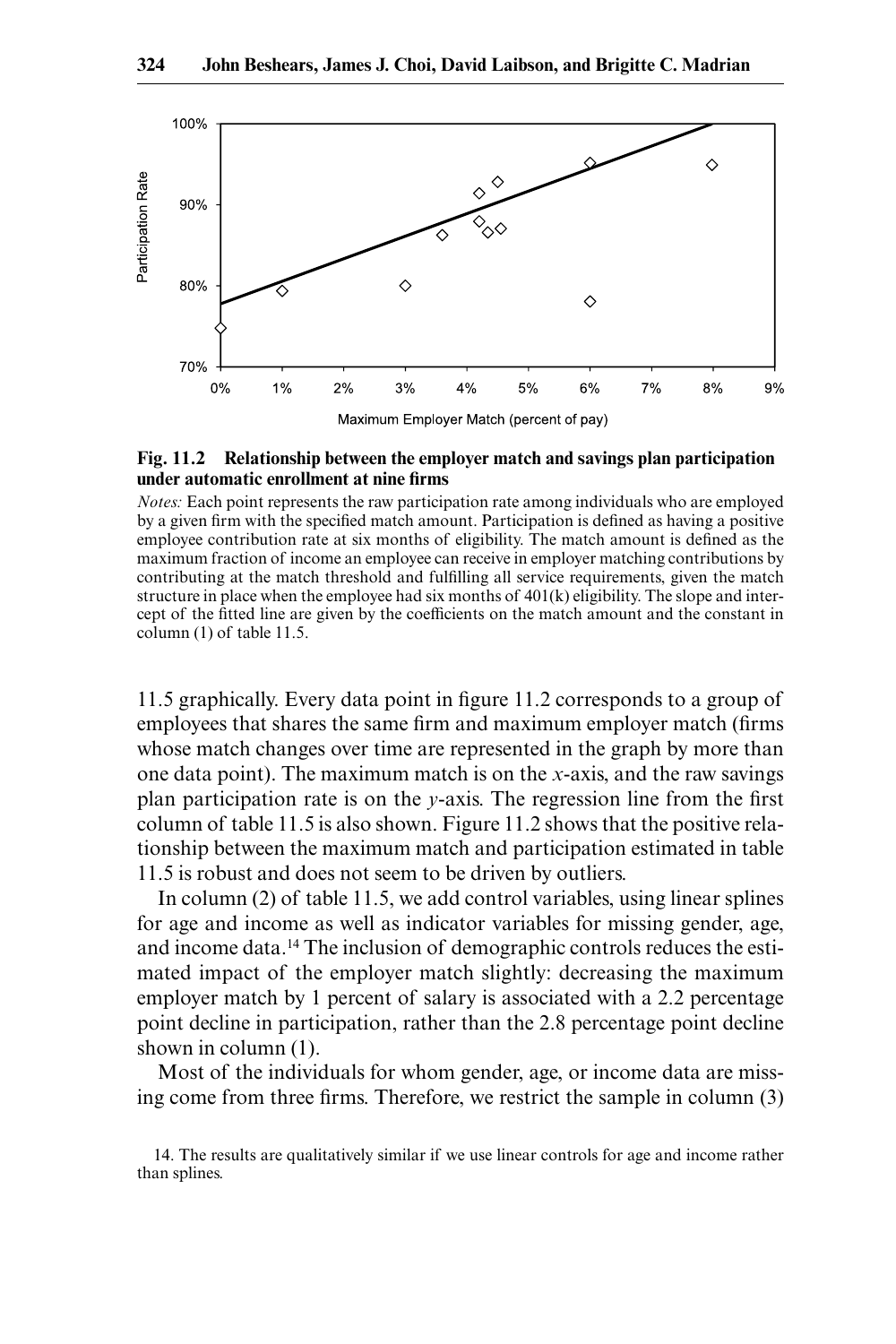

#### **Fig. 11.2 Relationship between the employer match and savings plan participation under automatic enrollment at nine firms**

*Notes:* Each point represents the raw participation rate among individuals who are employed by a given firm with the specified match amount. Participation is defined as having a positive employee contribution rate at six months of eligibility. The match amount is defined as the maximum fraction of income an employee can receive in employer matching contributions by contributing at the match threshold and fulfilling all service requirements, given the match structure in place when the employee had six months of  $401(k)$  eligibility. The slope and intercept of the fitted line are given by the coefficients on the match amount and the constant in column (1) of table 11.5.

11.5 graphically. Every data point in figure 11.2 corresponds to a group of employees that shares the same firm and maximum employer match (firms whose match changes over time are represented in the graph by more than one data point). The maximum match is on the *x*- axis, and the raw savings plan participation rate is on the  $y$ -axis. The regression line from the first column of table 11.5 is also shown. Figure 11.2 shows that the positive relationship between the maximum match and participation estimated in table 11.5 is robust and does not seem to be driven by outliers.

In column (2) of table 11.5, we add control variables, using linear splines for age and income as well as indicator variables for missing gender, age, and income data.14 The inclusion of demographic controls reduces the estimated impact of the employer match slightly: decreasing the maximum employer match by 1 percent of salary is associated with a 2.2 percentage point decline in participation, rather than the 2.8 percentage point decline shown in column (1).

Most of the individuals for whom gender, age, or income data are missing come from three firms. Therefore, we restrict the sample in column (3)

<sup>14.</sup> The results are qualitatively similar if we use linear controls for age and income rather than splines.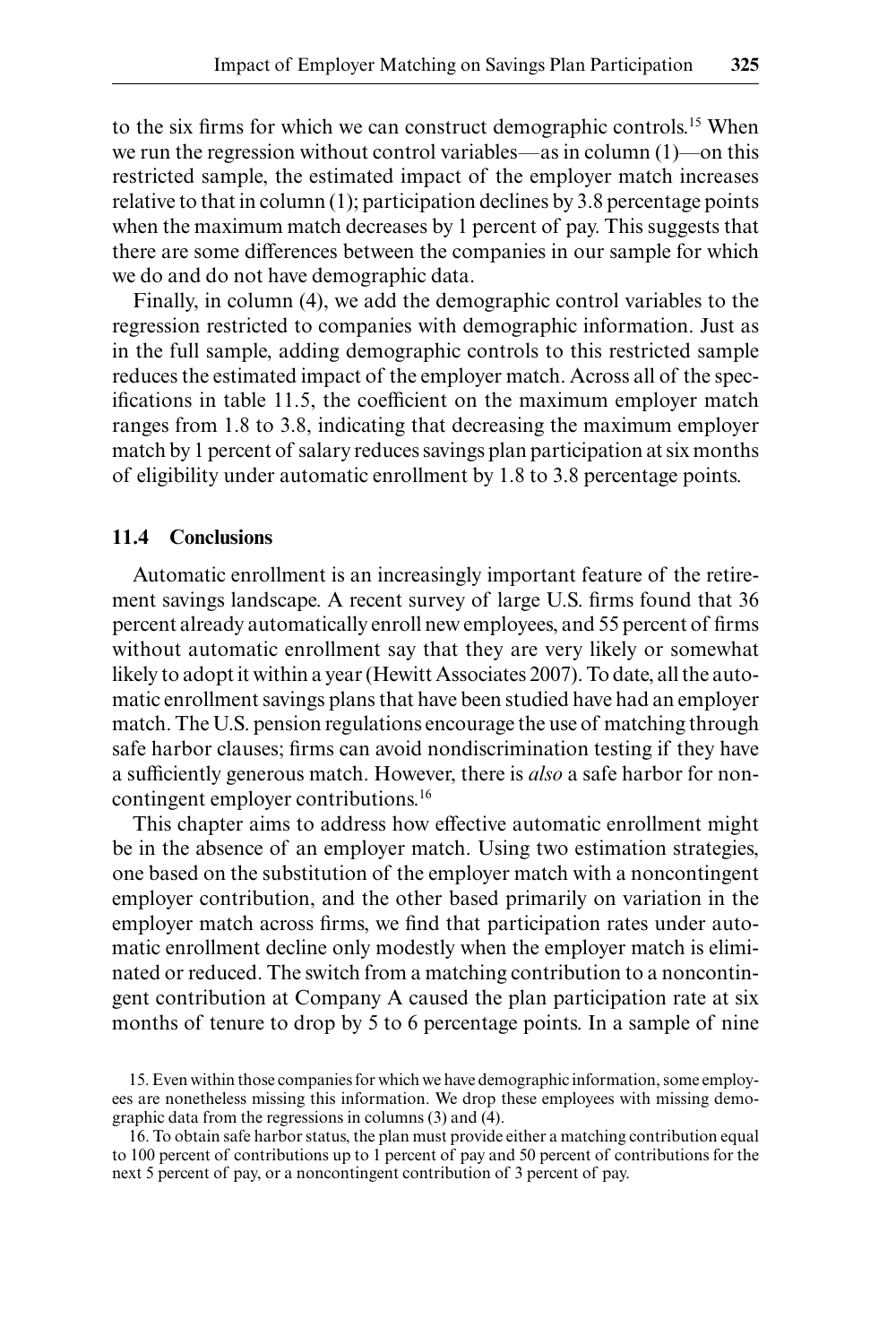to the six firms for which we can construct demographic controls.<sup>15</sup> When we run the regression without control variables—as in column (1)—on this restricted sample, the estimated impact of the employer match increases relative to that in column (1); participation declines by 3.8 percentage points when the maximum match decreases by 1 percent of pay. This suggests that there are some differences between the companies in our sample for which we do and do not have demographic data.

Finally, in column (4), we add the demographic control variables to the regression restricted to companies with demographic information. Just as in the full sample, adding demographic controls to this restricted sample reduces the estimated impact of the employer match. Across all of the specifications in table 11.5, the coefficient on the maximum employer match ranges from 1.8 to 3.8, indicating that decreasing the maximum employer match by 1 percent of salary reduces savings plan participation at six months of eligibility under automatic enrollment by 1.8 to 3.8 percentage points.

## **11.4 Conclusions**

Automatic enrollment is an increasingly important feature of the retirement savings landscape. A recent survey of large U.S. firms found that 36 percent already automatically enroll new employees, and 55 percent of firms without automatic enrollment say that they are very likely or somewhat likely to adopt it within a year (Hewitt Associates 2007). To date, all the automatic enrollment savings plans that have been studied have had an employer match. The U.S. pension regulations encourage the use of matching through safe harbor clauses; firms can avoid nondiscrimination testing if they have a sufficiently generous match. However, there is *also* a safe harbor for noncontingent employer contributions.16

This chapter aims to address how effective automatic enrollment might be in the absence of an employer match. Using two estimation strategies, one based on the substitution of the employer match with a noncontingent employer contribution, and the other based primarily on variation in the employer match across firms, we find that participation rates under automatic enrollment decline only modestly when the employer match is eliminated or reduced. The switch from a matching contribution to a noncontingent contribution at Company A caused the plan participation rate at six months of tenure to drop by 5 to 6 percentage points. In a sample of nine

<sup>15.</sup> Even within those companies for which we have demographic information, some employees are nonetheless missing this information. We drop these employees with missing demographic data from the regressions in columns (3) and (4).

<sup>16.</sup> To obtain safe harbor status, the plan must provide either a matching contribution equal to 100 percent of contributions up to 1 percent of pay and 50 percent of contributions for the next 5 percent of pay, or a noncontingent contribution of 3 percent of pay.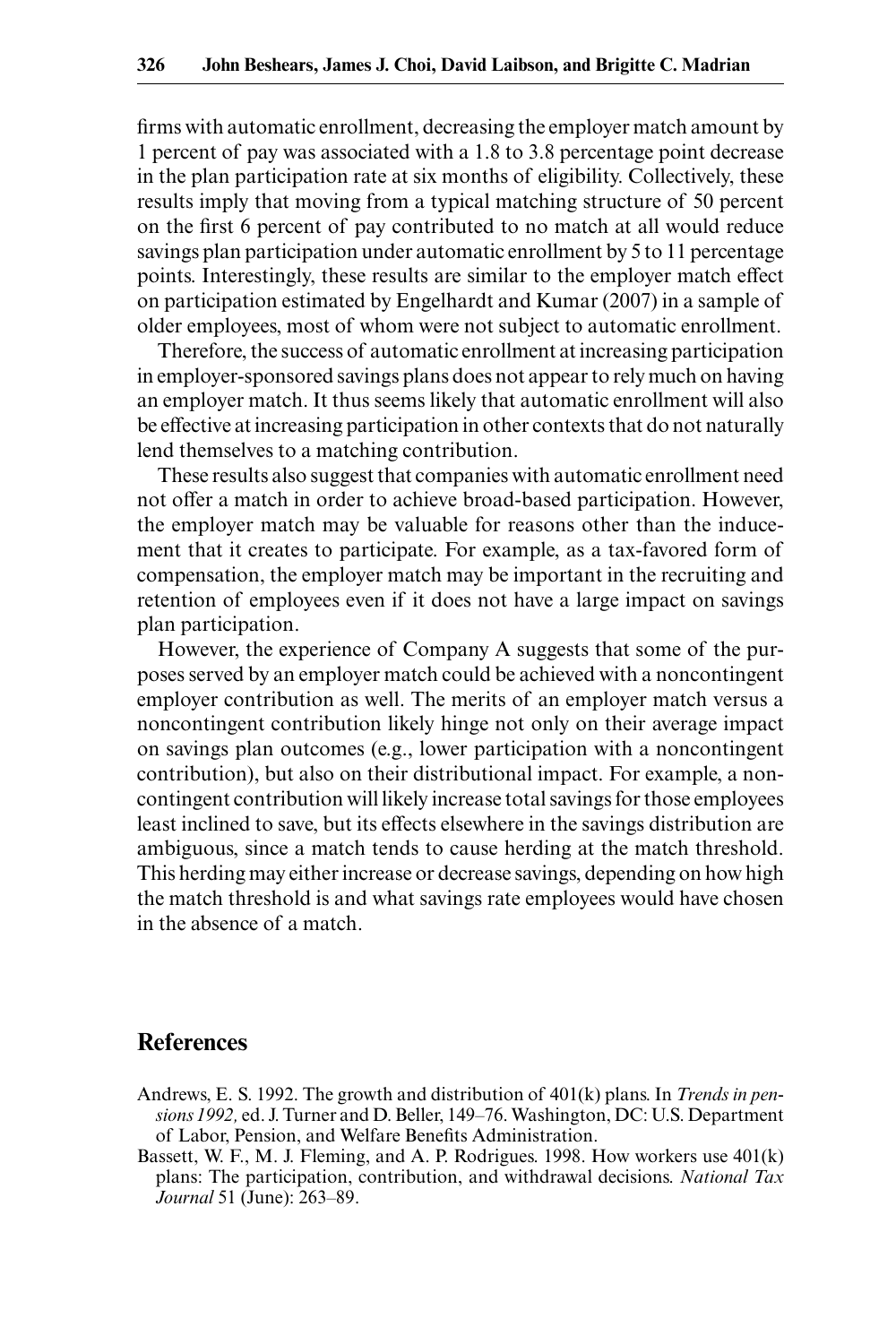firms with automatic enrollment, decreasing the employer match amount by 1 percent of pay was associated with a 1.8 to 3.8 percentage point decrease in the plan participation rate at six months of eligibility. Collectively, these results imply that moving from a typical matching structure of 50 percent on the first 6 percent of pay contributed to no match at all would reduce savings plan participation under automatic enrollment by 5 to 11 percentage points. Interestingly, these results are similar to the employer match effect on participation estimated by Engelhardt and Kumar (2007) in a sample of older employees, most of whom were not subject to automatic enrollment.

Therefore, the success of automatic enrollment at increasing participation in employer- sponsored savings plans does not appear to rely much on having an employer match. It thus seems likely that automatic enrollment will also be effective at increasing participation in other contexts that do not naturally lend themselves to a matching contribution.

These results also suggest that companies with automatic enrollment need not offer a match in order to achieve broad- based participation. However, the employer match may be valuable for reasons other than the inducement that it creates to participate. For example, as a tax-favored form of compensation, the employer match may be important in the recruiting and retention of employees even if it does not have a large impact on savings plan participation.

However, the experience of Company A suggests that some of the purposes served by an employer match could be achieved with a noncontingent employer contribution as well. The merits of an employer match versus a noncontingent contribution likely hinge not only on their average impact on savings plan outcomes (e.g., lower participation with a noncontingent contribution), but also on their distributional impact. For example, a noncontingent contribution will likely increase total savings for those employees least inclined to save, but its effects elsewhere in the savings distribution are ambiguous, since a match tends to cause herding at the match threshold. This herding may either increase or decrease savings, depending on how high the match threshold is and what savings rate employees would have chosen in the absence of a match.

## **References**

- Andrews, E. S. 1992. The growth and distribution of 401(k) plans. In *Trends in pensions 1992,* ed. J. Turner and D. Beller, 149– 76. Washington, DC: U.S. Department of Labor, Pension, and Welfare Benefits Administration.
- Bassett, W. F., M. J. Fleming, and A. P. Rodrigues. 1998. How workers use 401(k) plans: The participation, contribution, and withdrawal decisions. *National Tax Journal* 51 (June): 263-89.